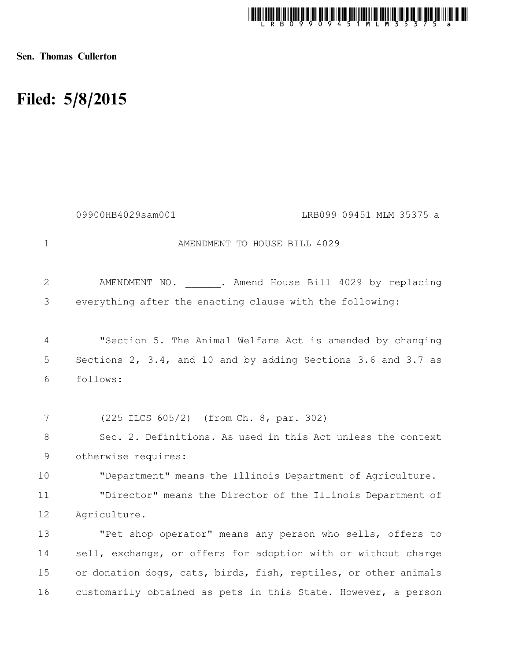

Sen. Thomas Cullerton

## Filed: 5/8/2015

|                | 09900HB4029sam001<br>LRB099 09451 MLM 35375 a                   |  |
|----------------|-----------------------------------------------------------------|--|
| $\mathbf 1$    | AMENDMENT TO HOUSE BILL 4029                                    |  |
| 2              | AMENDMENT NO. . Amend House Bill 4029 by replacing              |  |
| 3              | everything after the enacting clause with the following:        |  |
| $\overline{4}$ | "Section 5. The Animal Welfare Act is amended by changing       |  |
| 5              | Sections 2, 3.4, and 10 and by adding Sections 3.6 and 3.7 as   |  |
| 6              | follows:                                                        |  |
|                |                                                                 |  |
| 7              | (225 ILCS 605/2) (from Ch. 8, par. 302)                         |  |
| 8              | Sec. 2. Definitions. As used in this Act unless the context     |  |
| $\mathsf 9$    | otherwise requires:                                             |  |
| 10             | "Department" means the Illinois Department of Agriculture.      |  |
| 11             | "Director" means the Director of the Illinois Department of     |  |
| 12             | Agriculture.                                                    |  |
| 13             | "Pet shop operator" means any person who sells, offers to       |  |
| 14             | sell, exchange, or offers for adoption with or without charge   |  |
| 15             | or donation dogs, cats, birds, fish, reptiles, or other animals |  |
| 16             | customarily obtained as pets in this State. However, a person   |  |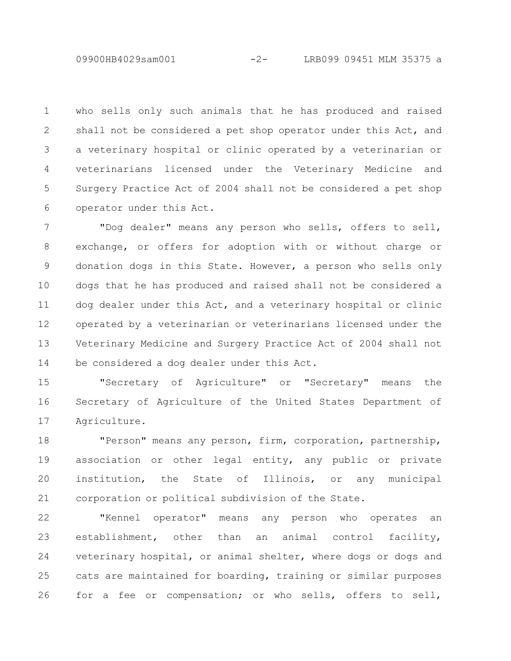09900HB4029sam001 -2- LRB099 09451 MLM 35375 a

who sells only such animals that he has produced and raised shall not be considered a pet shop operator under this Act, and a veterinary hospital or clinic operated by a veterinarian or veterinarians licensed under the Veterinary Medicine and Surgery Practice Act of 2004 shall not be considered a pet shop operator under this Act. 1 2 3 4 5 6

"Dog dealer" means any person who sells, offers to sell, exchange, or offers for adoption with or without charge or donation dogs in this State. However, a person who sells only dogs that he has produced and raised shall not be considered a dog dealer under this Act, and a veterinary hospital or clinic operated by a veterinarian or veterinarians licensed under the Veterinary Medicine and Surgery Practice Act of 2004 shall not be considered a dog dealer under this Act. 7 8 9 10 11 12 13 14

"Secretary of Agriculture" or "Secretary" means the Secretary of Agriculture of the United States Department of Agriculture. 15 16 17

"Person" means any person, firm, corporation, partnership, association or other legal entity, any public or private institution, the State of Illinois, or any municipal corporation or political subdivision of the State. 18 19 20 21

"Kennel operator" means any person who operates an establishment, other than an animal control facility, veterinary hospital, or animal shelter, where dogs or dogs and cats are maintained for boarding, training or similar purposes for a fee or compensation; or who sells, offers to sell, 22 23 24 25 26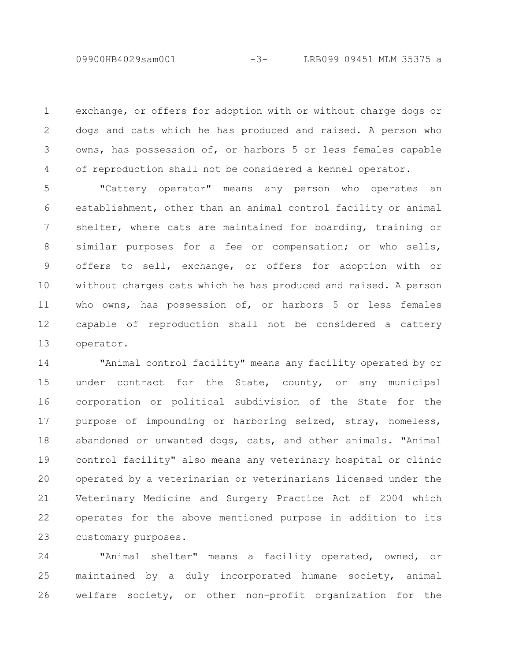exchange, or offers for adoption with or without charge dogs or dogs and cats which he has produced and raised. A person who owns, has possession of, or harbors 5 or less females capable of reproduction shall not be considered a kennel operator. 1 2 3 4

"Cattery operator" means any person who operates an establishment, other than an animal control facility or animal shelter, where cats are maintained for boarding, training or similar purposes for a fee or compensation; or who sells, offers to sell, exchange, or offers for adoption with or without charges cats which he has produced and raised. A person who owns, has possession of, or harbors 5 or less females capable of reproduction shall not be considered a cattery operator. 5 6 7 8 9 10 11 12 13

"Animal control facility" means any facility operated by or under contract for the State, county, or any municipal corporation or political subdivision of the State for the purpose of impounding or harboring seized, stray, homeless, abandoned or unwanted dogs, cats, and other animals. "Animal control facility" also means any veterinary hospital or clinic operated by a veterinarian or veterinarians licensed under the Veterinary Medicine and Surgery Practice Act of 2004 which operates for the above mentioned purpose in addition to its customary purposes. 14 15 16 17 18 19 20 21 22 23

"Animal shelter" means a facility operated, owned, or maintained by a duly incorporated humane society, animal welfare society, or other non-profit organization for the 24 25 26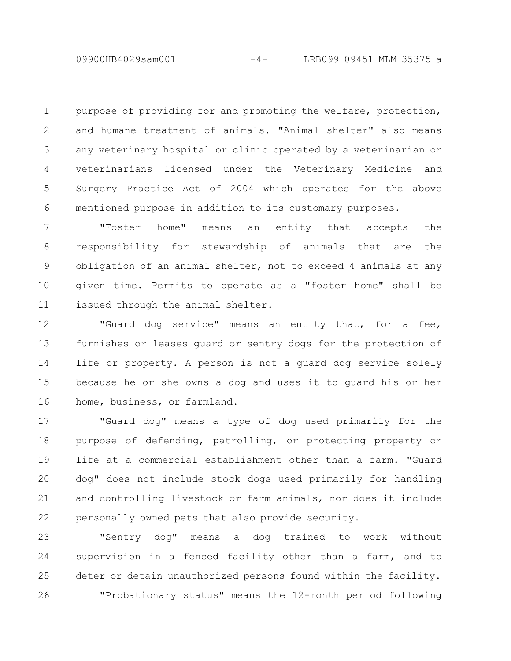purpose of providing for and promoting the welfare, protection, and humane treatment of animals. "Animal shelter" also means any veterinary hospital or clinic operated by a veterinarian or veterinarians licensed under the Veterinary Medicine and Surgery Practice Act of 2004 which operates for the above mentioned purpose in addition to its customary purposes. 1 2 3 4 5 6

"Foster home" means an entity that accepts the responsibility for stewardship of animals that are the obligation of an animal shelter, not to exceed 4 animals at any given time. Permits to operate as a "foster home" shall be issued through the animal shelter. 7 8 9 10 11

"Guard dog service" means an entity that, for a fee, furnishes or leases guard or sentry dogs for the protection of life or property. A person is not a guard dog service solely because he or she owns a dog and uses it to guard his or her home, business, or farmland. 12 13 14 15 16

"Guard dog" means a type of dog used primarily for the purpose of defending, patrolling, or protecting property or life at a commercial establishment other than a farm. "Guard dog" does not include stock dogs used primarily for handling and controlling livestock or farm animals, nor does it include personally owned pets that also provide security. 17 18 19 20 21 22

"Sentry dog" means a dog trained to work without supervision in a fenced facility other than a farm, and to deter or detain unauthorized persons found within the facility. "Probationary status" means the 12-month period following 23 24 25 26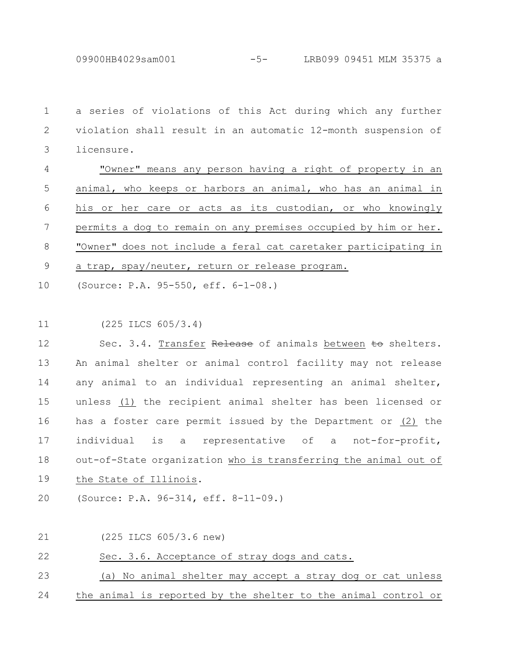09900HB4029sam001 -5- LRB099 09451 MLM 35375 a

a series of violations of this Act during which any further violation shall result in an automatic 12-month suspension of licensure. 1 2 3

"Owner" means any person having a right of property in an animal, who keeps or harbors an animal, who has an animal in his or her care or acts as its custodian, or who knowingly permits a dog to remain on any premises occupied by him or her. "Owner" does not include a feral cat caretaker participating in a trap, spay/neuter, return or release program. 4 5 6 7 8 9

(Source: P.A. 95-550, eff. 6-1-08.) 10

(225 ILCS 605/3.4) 11

Sec. 3.4. Transfer Release of animals between to shelters. An animal shelter or animal control facility may not release any animal to an individual representing an animal shelter, unless (1) the recipient animal shelter has been licensed or has a foster care permit issued by the Department or (2) the individual is a representative of a not-for-profit, out-of-State organization who is transferring the animal out of the State of Illinois. 12 13 14 15 16 17 18 19

(Source: P.A. 96-314, eff. 8-11-09.) 20

(225 ILCS 605/3.6 new) 21

Sec. 3.6. Acceptance of stray dogs and cats. 22

(a) No animal shelter may accept a stray dog or cat unless 23

the animal is reported by the shelter to the animal control or 24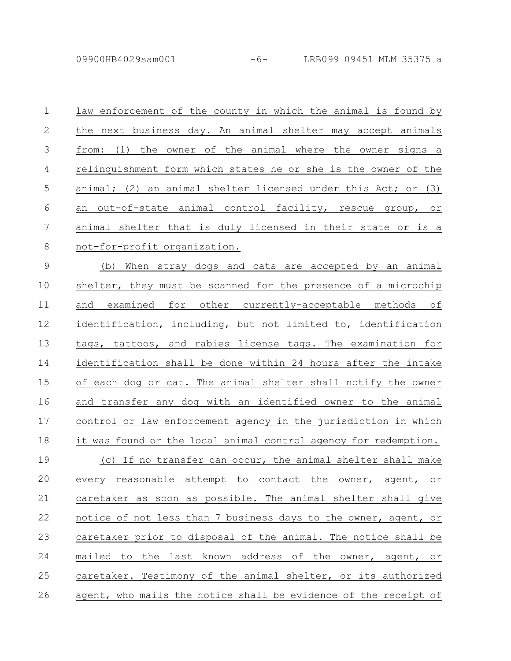09900HB4029sam001 -6- LRB099 09451 MLM 35375 a

| $\mathbf 1$    | law enforcement of the county in which the animal is found by   |
|----------------|-----------------------------------------------------------------|
| $\mathbf{2}$   | the next business day. An animal shelter may accept animals     |
| 3              | from: (1) the owner of the animal where the owner signs a       |
| $\overline{4}$ | relinquishment form which states he or she is the owner of the  |
| 5              | animal; (2) an animal shelter licensed under this Act; or (3)   |
| 6              | an out-of-state animal control facility, rescue group, or       |
| $\overline{7}$ | animal shelter that is duly licensed in their state or is a     |
| 8              | not-for-profit organization.                                    |
| $\mathcal{G}$  | (b) When stray dogs and cats are accepted by an animal          |
| 10             | shelter, they must be scanned for the presence of a microchip   |
| 11             | and examined for other currently-acceptable methods of          |
| 12             | identification, including, but not limited to, identification   |
| 13             | tags, tattoos, and rabies license tags. The examination for     |
| 14             | identification shall be done within 24 hours after the intake   |
| 15             | of each dog or cat. The animal shelter shall notify the owner   |
| 16             | and transfer any dog with an identified owner to the animal     |
| 17             | control or law enforcement agency in the jurisdiction in which  |
| 18             | it was found or the local animal control agency for redemption. |
| 19             | (c) If no transfer can occur, the animal shelter shall make     |
| 20             | every reasonable attempt to contact the owner, agent, or        |
| 21             | caretaker as soon as possible. The animal shelter shall give    |
| 22             | notice of not less than 7 business days to the owner, agent, or |
| 23             | caretaker prior to disposal of the animal. The notice shall be  |
| 24             | mailed to the last known address of the owner, agent, or        |
| 25             | caretaker. Testimony of the animal shelter, or its authorized   |
| 26             | agent, who mails the notice shall be evidence of the receipt of |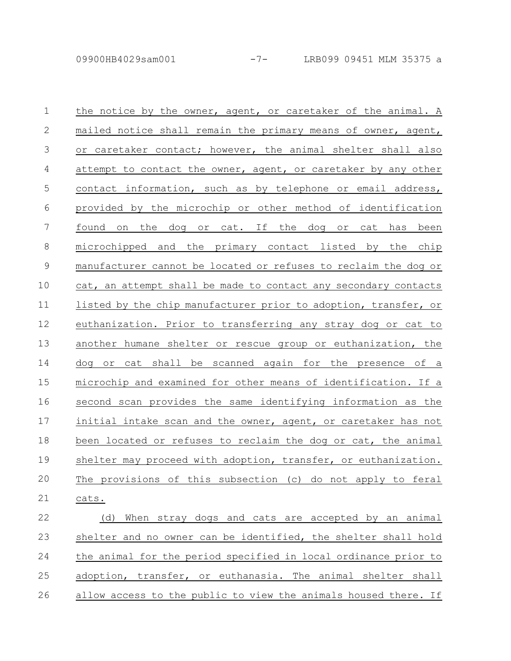25

| $\mathbf 1$ | the notice by the owner, agent, or caretaker of the animal. A   |
|-------------|-----------------------------------------------------------------|
| 2           | mailed notice shall remain the primary means of owner, agent,   |
| 3           | or caretaker contact; however, the animal shelter shall also    |
| 4           | attempt to contact the owner, agent, or caretaker by any other  |
| 5           | contact information, such as by telephone or email address,     |
| 6           | provided by the microchip or other method of identification     |
| 7           | found on the dog or cat. If the dog or cat has been             |
| $\,8\,$     | microchipped and the primary contact listed by the chip         |
| $\mathsf 9$ | manufacturer cannot be located or refuses to reclaim the dog or |
| 10          | cat, an attempt shall be made to contact any secondary contacts |
| 11          | listed by the chip manufacturer prior to adoption, transfer, or |
| 12          | euthanization. Prior to transferring any stray dog or cat to    |
| 13          | another humane shelter or rescue group or euthanization, the    |
| 14          | cat shall be scanned again for the presence of a<br>dog<br>or   |
| 15          | microchip and examined for other means of identification. If a  |
| 16          | second scan provides the same identifying information as the    |
| 17          | initial intake scan and the owner, agent, or caretaker has not  |
| 18          | been located or refuses to reclaim the dog or cat, the animal   |
| 19          | shelter may proceed with adoption, transfer, or euthanization.  |
| 20          | The provisions of this subsection (c) do not apply to feral     |
| 21          | cats.                                                           |
| 22          | When stray dogs and cats are accepted by an animal<br>(d)       |
| 23          |                                                                 |
|             | shelter and no owner can be identified, the shelter shall hold  |

allow access to the public to view the animals housed there. If 26

adoption, transfer, or euthanasia. The animal shelter shall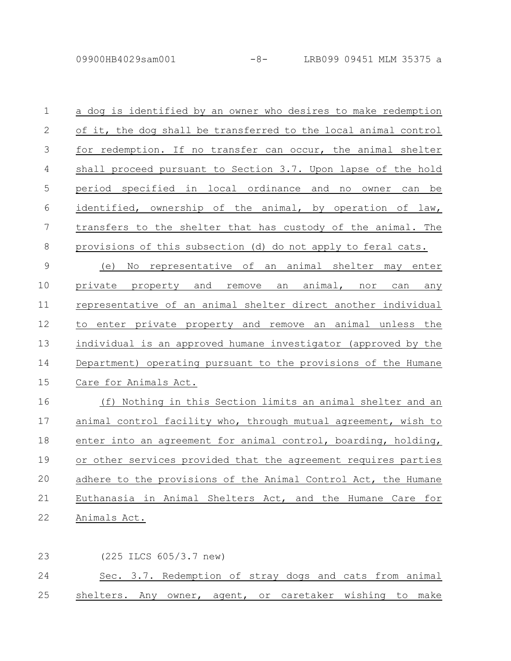| $\mathbf 1$    | a dog is identified by an owner who desires to make redemption  |
|----------------|-----------------------------------------------------------------|
| 2              | of it, the dog shall be transferred to the local animal control |
| 3              | for redemption. If no transfer can occur, the animal shelter    |
| $\overline{4}$ | shall proceed pursuant to Section 3.7. Upon lapse of the hold   |
| 5              | period specified in local ordinance and no owner can be         |
| 6              | identified, ownership of the animal, by operation of law,       |
| 7              | transfers to the shelter that has custody of the animal. The    |
| 8              | provisions of this subsection (d) do not apply to feral cats.   |
| $\overline{9}$ | (e) No representative of an animal shelter may enter            |
| 10             | private property and remove an animal, nor can any              |
| 11             | representative of an animal shelter direct another individual   |
| 12             | to enter private property and remove an animal unless the       |
| 13             | individual is an approved humane investigator (approved by the  |
| 14             | Department) operating pursuant to the provisions of the Humane  |
| 15             | Care for Animals Act.                                           |
| 16             | (f) Nothing in this Section limits an animal shelter and an     |
| 17             | animal control facility who, through mutual agreement, wish to  |
| 18             | enter into an agreement for animal control, boarding, holding,  |
| 19             | or other services provided that the agreement requires parties  |
| 20             | adhere to the provisions of the Animal Control Act, the Humane  |
| 21             | Euthanasia in Animal Shelters Act, and the Humane Care for      |
| 22             | Animals Act.                                                    |

(225 ILCS 605/3.7 new) Sec. 3.7. Redemption of stray dogs and cats from animal shelters. Any owner, agent, or caretaker wishing to make 23 24 25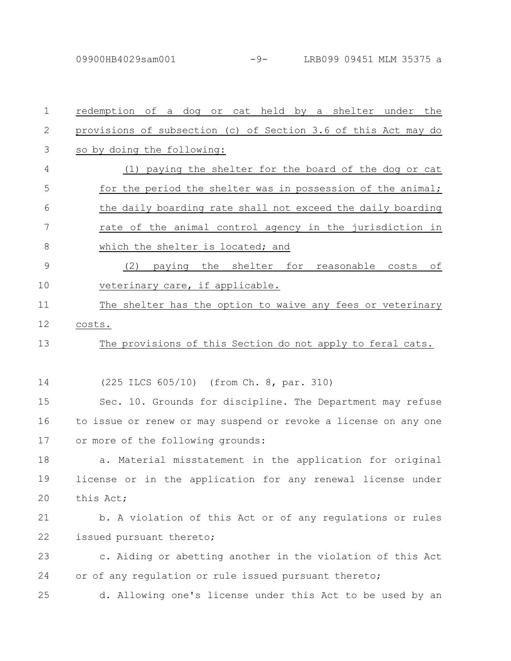| $\mathbf 1$   | redemption of a dog or cat held by a shelter under the          |
|---------------|-----------------------------------------------------------------|
| 2             | provisions of subsection (c) of Section 3.6 of this Act may do  |
| 3             | so by doing the following:                                      |
| 4             | (1) paying the shelter for the board of the dog or cat          |
| 5             | for the period the shelter was in possession of the animal;     |
| 6             | the daily boarding rate shall not exceed the daily boarding     |
| 7             | rate of the animal control agency in the jurisdiction in        |
| 8             | which the shelter is located; and                               |
| $\mathcal{G}$ | (2) paying the shelter for reasonable costs of                  |
| 10            | veterinary care, if applicable.                                 |
| 11            | The shelter has the option to waive any fees or veterinary      |
| 12            | costs.                                                          |
| 13            | The provisions of this Section do not apply to feral cats.      |
|               |                                                                 |
| 14            | (225 ILCS 605/10) (from Ch. 8, par. 310)                        |
| 15            | Sec. 10. Grounds for discipline. The Department may refuse      |
| 16            | to issue or renew or may suspend or revoke a license on any one |
| 17            | or more of the following grounds:                               |
| 18            | Material misstatement in the application for original<br>a.     |
| 19            | license or in the application for any renewal license under     |
| 20            | this Act;                                                       |
| 21            | b. A violation of this Act or of any regulations or rules       |
| 22            | issued pursuant thereto;                                        |
| 23            | c. Aiding or abetting another in the violation of this Act      |
| 24            | or of any regulation or rule issued pursuant thereto;           |
| 25            | d. Allowing one's license under this Act to be used by an       |
|               |                                                                 |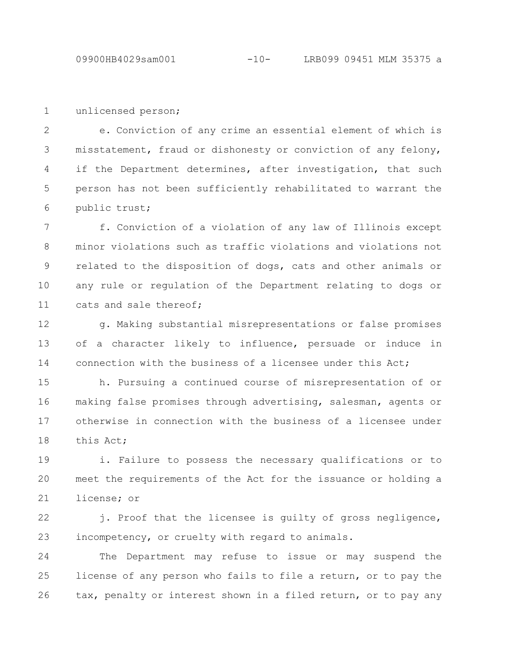unlicensed person; 1

e. Conviction of any crime an essential element of which is misstatement, fraud or dishonesty or conviction of any felony, if the Department determines, after investigation, that such person has not been sufficiently rehabilitated to warrant the public trust; 2 3 4 5 6

f. Conviction of a violation of any law of Illinois except minor violations such as traffic violations and violations not related to the disposition of dogs, cats and other animals or any rule or regulation of the Department relating to dogs or cats and sale thereof; 7 8 9 10 11

g. Making substantial misrepresentations or false promises of a character likely to influence, persuade or induce in connection with the business of a licensee under this Act; 12 13 14

h. Pursuing a continued course of misrepresentation of or making false promises through advertising, salesman, agents or otherwise in connection with the business of a licensee under this Act; 15 16 17 18

i. Failure to possess the necessary qualifications or to meet the requirements of the Act for the issuance or holding a license; or 19 20 21

j. Proof that the licensee is guilty of gross negligence, incompetency, or cruelty with regard to animals. 22 23

The Department may refuse to issue or may suspend the license of any person who fails to file a return, or to pay the tax, penalty or interest shown in a filed return, or to pay any 24 25 26